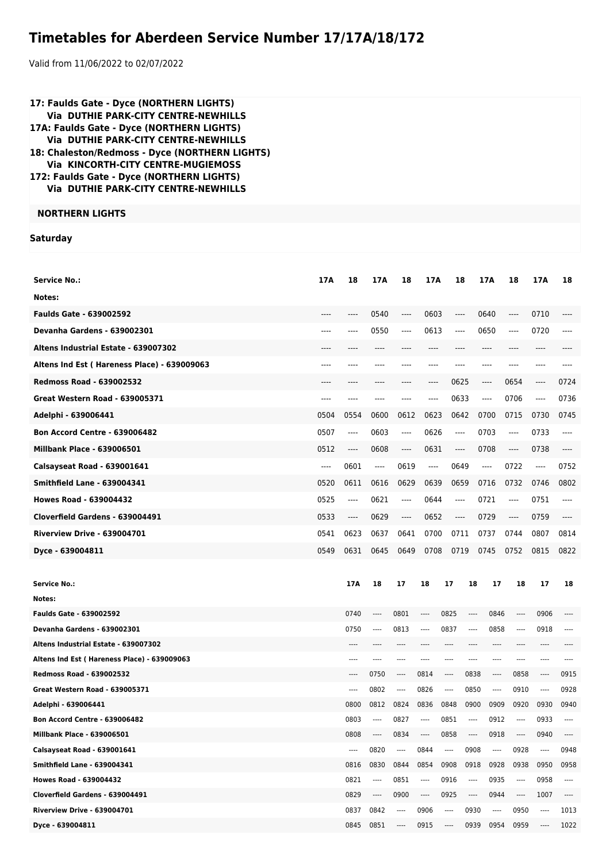## **Timetables for Aberdeen Service Number 17/17A/18/172**

Valid from 11/06/2022 to 02/07/2022

| 17: Faulds Gate - Dyce (NORTHERN LIGHTS)<br><b>Via DUTHIE PARK-CITY CENTRE-NEWHILLS</b><br>17A: Faulds Gate - Dyce (NORTHERN LIGHTS)<br><b>Via DUTHIE PARK-CITY CENTRE-NEWHILLS</b><br>18: Chaleston/Redmoss - Dyce (NORTHERN LIGHTS)<br>Via KINCORTH-CITY CENTRE-MUGIEMOSS<br>172: Faulds Gate - Dyce (NORTHERN LIGHTS)<br>Via DUTHIE PARK-CITY CENTRE-NEWHILLS |      |                                          |              |                               |                                                  |                          |                         |                               |              |              |              |
|------------------------------------------------------------------------------------------------------------------------------------------------------------------------------------------------------------------------------------------------------------------------------------------------------------------------------------------------------------------|------|------------------------------------------|--------------|-------------------------------|--------------------------------------------------|--------------------------|-------------------------|-------------------------------|--------------|--------------|--------------|
| <b>NORTHERN LIGHTS</b>                                                                                                                                                                                                                                                                                                                                           |      |                                          |              |                               |                                                  |                          |                         |                               |              |              |              |
| <b>Saturday</b>                                                                                                                                                                                                                                                                                                                                                  |      |                                          |              |                               |                                                  |                          |                         |                               |              |              |              |
|                                                                                                                                                                                                                                                                                                                                                                  |      |                                          |              |                               |                                                  |                          |                         |                               |              |              |              |
| <b>Service No.:</b>                                                                                                                                                                                                                                                                                                                                              | 17A  | 18                                       | 17A          | 18                            | 17A                                              | 18                       |                         | 17A                           | 18           | 17A          | 18           |
| Notes:                                                                                                                                                                                                                                                                                                                                                           |      |                                          |              |                               |                                                  |                          |                         |                               |              |              |              |
|                                                                                                                                                                                                                                                                                                                                                                  |      |                                          |              |                               |                                                  |                          |                         |                               |              |              |              |
| <b>Faulds Gate - 639002592</b>                                                                                                                                                                                                                                                                                                                                   | ---- | ----                                     | 0540         | ----                          | 0603                                             | ----                     |                         | 0640                          | ----         | 0710         | ----         |
| Devanha Gardens - 639002301                                                                                                                                                                                                                                                                                                                                      | ---- | ----                                     | 0550         | ----                          | 0613                                             | ----                     |                         | 0650                          | $---$        | 0720         | $---$        |
| Altens Industrial Estate - 639007302                                                                                                                                                                                                                                                                                                                             |      |                                          |              |                               |                                                  |                          |                         | ----                          |              |              |              |
| Altens Ind Est (Hareness Place) - 639009063                                                                                                                                                                                                                                                                                                                      |      |                                          |              |                               |                                                  |                          |                         | ----                          | ----         |              |              |
| <b>Redmoss Road - 639002532</b>                                                                                                                                                                                                                                                                                                                                  |      |                                          | ----         | ----                          | ----                                             | 0625                     |                         | $\hspace{1.5cm} \textbf{---}$ | 0654         | $\cdots$     | 0724         |
| <b>Great Western Road - 639005371</b>                                                                                                                                                                                                                                                                                                                            | ---- | ----                                     | ----         | ----                          | ----                                             | 0633                     |                         | ----                          | 0706         | ----         | 0736         |
| Adelphi - 639006441                                                                                                                                                                                                                                                                                                                                              | 0504 | 0554                                     | 0600         | 0612                          | 0623                                             | 0642                     |                         | 0700                          | 0715         | 0730         | 0745         |
| <b>Bon Accord Centre - 639006482</b>                                                                                                                                                                                                                                                                                                                             | 0507 | $---$                                    | 0603         | ----                          | 0626                                             | $\overline{\phantom{a}}$ |                         | 0703                          | ----         | 0733         | $---$        |
| <b>Millbank Place - 639006501</b>                                                                                                                                                                                                                                                                                                                                | 0512 | $\hspace{0.05cm} \ldots \hspace{0.05cm}$ | 0608         | ----                          | 0631                                             | $\cdots$                 |                         | 0708                          | ----         | 0738         | ----         |
| Calsayseat Road - 639001641                                                                                                                                                                                                                                                                                                                                      | ---- | 0601                                     | ----         | 0619                          | $\cdots$                                         | 0649                     |                         | $---$                         | 0722         | $\cdots$     | 0752         |
| <b>Smithfield Lane - 639004341</b>                                                                                                                                                                                                                                                                                                                               | 0520 | 0611                                     | 0616         | 0629                          | 0639                                             | 0659                     |                         | 0716                          | 0732         | 0746         | 0802         |
| <b>Howes Road - 639004432</b>                                                                                                                                                                                                                                                                                                                                    | 0525 | $---$                                    | 0621         | ----                          | 0644                                             | $\overline{\phantom{a}}$ |                         | 0721                          | ----         | 0751         | ----         |
| Cloverfield Gardens - 639004491                                                                                                                                                                                                                                                                                                                                  | 0533 | $\hspace{1.5cm} \textbf{---}$            | 0629         | $\hspace{1.5cm} \textbf{---}$ | 0652                                             | $\cdots$                 |                         | 0729                          | $\cdots$     | 0759         | ----         |
| <b>Riverview Drive - 639004701</b>                                                                                                                                                                                                                                                                                                                               | 0541 | 0623                                     | 0637         | 0641                          | 0700                                             | 0711                     |                         | 0737                          | 0744         | 0807         | 0814         |
| Dyce - 639004811                                                                                                                                                                                                                                                                                                                                                 | 0549 | 0631                                     | 0645         | 0649                          | 0708                                             | 0719                     |                         | 0745                          | 0752         | 0815         | 0822         |
|                                                                                                                                                                                                                                                                                                                                                                  |      |                                          |              |                               |                                                  |                          |                         |                               |              |              |              |
| <b>Service No.:</b>                                                                                                                                                                                                                                                                                                                                              |      | 17A                                      | 18           | 17                            | 18                                               | 17                       | 18                      | 17                            | 18           | 17           | 18           |
| Notes:                                                                                                                                                                                                                                                                                                                                                           |      |                                          |              |                               |                                                  |                          |                         |                               |              |              |              |
| <b>Faulds Gate - 639002592</b>                                                                                                                                                                                                                                                                                                                                   |      | 0740                                     | ----         | 0801                          | $\cdots$                                         | 0825                     | ----                    | 0846                          | $\cdots$     | 0906         | $---$        |
| Devanha Gardens - 639002301                                                                                                                                                                                                                                                                                                                                      |      | 0750                                     | $\cdots$     | 0813                          | $\cdots$                                         | 0837                     | $\cdots$                | 0858                          | $\cdots$     | 0918         | ----         |
| Altens Industrial Estate - 639007302                                                                                                                                                                                                                                                                                                                             |      | ----                                     | $- - - -$    | ----                          | ----                                             | $---$                    | $---$                   | $---$                         | $---$        | $\cdots$     | $---$        |
| Altens Ind Est (Hareness Place) - 639009063                                                                                                                                                                                                                                                                                                                      |      | $- - - -$                                |              | ----                          | ----                                             | $---$                    | $^{***}$                | ----                          | $\cdots$     | $\cdots$     | $- - - -$    |
| <b>Redmoss Road - 639002532</b>                                                                                                                                                                                                                                                                                                                                  |      | ----                                     | 0750         | $\cdots$                      | 0814                                             | $\cdots$                 | 0838                    | $\cdots$                      | 0858         | $\cdots$     | 0915         |
| Great Western Road - 639005371<br>Adelphi - 639006441                                                                                                                                                                                                                                                                                                            |      | ----<br>0800                             | 0802<br>0812 | $\cdots$<br>0824              | 0826<br>0836                                     | $\cdots$<br>0848         | 0850<br>0900            | $\cdots$<br>0909              | 0910<br>0920 | ----<br>0930 | 0928<br>0940 |
| <b>Bon Accord Centre - 639006482</b>                                                                                                                                                                                                                                                                                                                             |      | 0803                                     | ----         | 0827                          | $\cdots$                                         | 0851                     | $\cdots$                | 0912                          | $\cdots$     | 0933         | $\cdots$     |
| <b>Millbank Place - 639006501</b>                                                                                                                                                                                                                                                                                                                                |      | 0808                                     | $\cdots$     | 0834                          | $\cdots$                                         | 0858                     | $\hspace{0.05cm}\ldots$ | 0918                          | $\cdots$     | 0940         | ----         |
| Calsayseat Road - 639001641                                                                                                                                                                                                                                                                                                                                      |      | $\cdots$                                 | 0820         | $\cdots$                      | 0844                                             | $\cdots$                 | 0908                    | $\cdots$                      | 0928         | $\cdots$     | 0948         |
| <b>Smithfield Lane - 639004341</b>                                                                                                                                                                                                                                                                                                                               |      | 0816                                     | 0830         | 0844                          | 0854                                             | 0908                     | 0918                    | 0928                          | 0938         | 0950         | 0958         |
| <b>Howes Road - 639004432</b>                                                                                                                                                                                                                                                                                                                                    |      | 0821                                     | ----         | 0851                          | $\cdots$                                         | 0916                     | $\cdots$                | 0935                          | $---$        | 0958         | $\cdots$     |
| Cloverfield Gardens - 639004491                                                                                                                                                                                                                                                                                                                                  |      | 0829                                     | ----         | 0900                          | $\hspace{0.015cm} \ldots \hspace{0.01cm} \ldots$ | 0925                     | $\cdots$                | 0944                          | $\cdots$     | 1007         | ----         |
| <b>Riverview Drive - 639004701</b>                                                                                                                                                                                                                                                                                                                               |      |                                          | 0837 0842    | $\cdots$                      | 0906                                             | $\cdots$                 | 0930                    | $\cdots$                      | 0950         | $\cdots$     | 1013         |

**Dyce - 639004811 Dyce - 639004811 Dyce - 639004811 Dyce - 639004811 Dyce - 639004811 Dyce - 639004811 Dyce - 639004811 Dyce - 639004811 Dyce - 639004811 Dyce - 639004811 Dyce - 639004811 Dyce - 63900**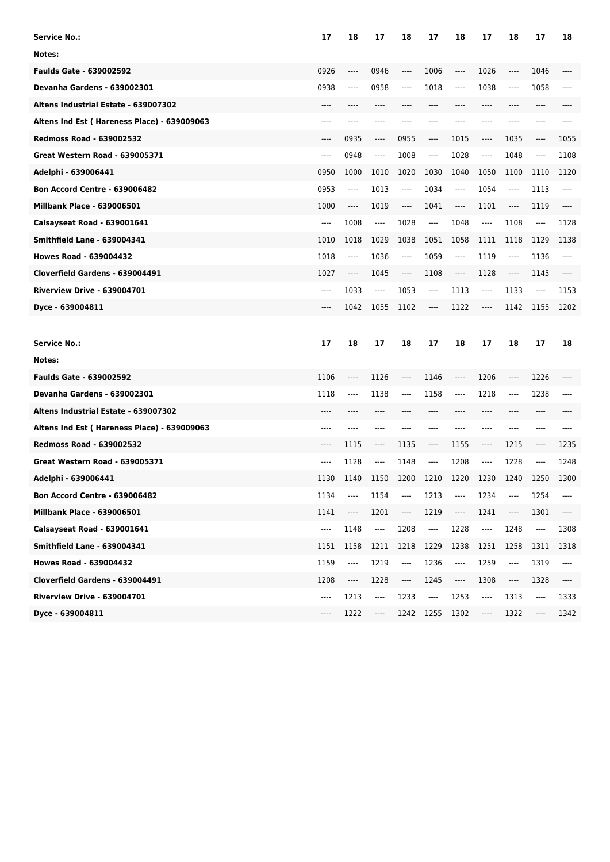| Service No.:                                | 17    | 18                            | 17                                                                                                                                                                                                                                                                                                                                                                              | 18       | 17                            | 18                            | 17    | 18    | 17                            | 18                            |
|---------------------------------------------|-------|-------------------------------|---------------------------------------------------------------------------------------------------------------------------------------------------------------------------------------------------------------------------------------------------------------------------------------------------------------------------------------------------------------------------------|----------|-------------------------------|-------------------------------|-------|-------|-------------------------------|-------------------------------|
| Notes:                                      |       |                               |                                                                                                                                                                                                                                                                                                                                                                                 |          |                               |                               |       |       |                               |                               |
| <b>Faulds Gate - 639002592</b>              | 0926  | ----                          | 0946                                                                                                                                                                                                                                                                                                                                                                            | ----     | 1006                          | ----                          | 1026  | ----  | 1046                          |                               |
| <b>Devanha Gardens - 639002301</b>          | 0938  | ----                          | 0958                                                                                                                                                                                                                                                                                                                                                                            | ----     | 1018                          | ----                          | 1038  | ----  | 1058                          |                               |
| Altens Industrial Estate - 639007302        | ----  | ----                          | ----                                                                                                                                                                                                                                                                                                                                                                            |          | ----                          |                               | ----  | ----  | ----                          |                               |
| Altens Ind Est (Hareness Place) - 639009063 | ----  | ----                          | ----                                                                                                                                                                                                                                                                                                                                                                            |          | ----                          |                               | ----  | ----  | ----                          |                               |
| <b>Redmoss Road - 639002532</b>             | ----  | 0935                          | $\hspace{1.5cm} \textbf{---} \hspace{1.5cm}$                                                                                                                                                                                                                                                                                                                                    | 0955     | ----                          | 1015                          | ----  | 1035  | ----                          | 1055                          |
| <b>Great Western Road - 639005371</b>       | ----  | 0948                          | ----                                                                                                                                                                                                                                                                                                                                                                            | 1008     | ----                          | 1028                          | ----  | 1048  | ----                          | 1108                          |
| Adelphi - 639006441                         | 0950  | 1000                          | 1010                                                                                                                                                                                                                                                                                                                                                                            | 1020     | 1030                          | 1040                          | 1050  | 1100  | 1110                          | 1120                          |
| <b>Bon Accord Centre - 639006482</b>        | 0953  | ----                          | 1013                                                                                                                                                                                                                                                                                                                                                                            | ----     | 1034                          | $\hspace{1.5cm} \textbf{---}$ | 1054  | ----  | 1113                          | $---$                         |
| <b>Millbank Place - 639006501</b>           | 1000  | ----                          | 1019                                                                                                                                                                                                                                                                                                                                                                            | $\cdots$ | 1041                          | ----                          | 1101  | ----  | 1119                          |                               |
| Calsayseat Road - 639001641                 | ----  | 1008                          | $\hspace{0.01em}\rule{0.7pt}{0.1em}\hspace{0.01em}\hspace{0.01em}\hspace{0.01em}\hspace{0.01em}\hspace{0.01em}\hspace{0.01em}\hspace{0.01em}\hspace{0.01em}\hspace{0.01em}\hspace{0.01em}\hspace{0.01em}\hspace{0.01em}\hspace{0.01em}\hspace{0.01em}\hspace{0.01em}\hspace{0.01em}\hspace{0.01em}\hspace{0.01em}\hspace{0.01em}\hspace{0.01em}\hspace{0.01em}\hspace{0.01em}\$ | 1028     | ----                          | 1048                          | ----  | 1108  | ----                          | 1128                          |
| <b>Smithfield Lane - 639004341</b>          | 1010  | 1018                          | 1029                                                                                                                                                                                                                                                                                                                                                                            | 1038     | 1051                          | 1058                          | 1111  | 1118  | 1129                          | 1138                          |
| <b>Howes Road - 639004432</b>               | 1018  | $\hspace{1.5cm} \textbf{---}$ | 1036                                                                                                                                                                                                                                                                                                                                                                            | ----     | 1059                          | $\hspace{1.5cm} \textbf{---}$ | 1119  | $---$ | 1136                          | ----                          |
| Cloverfield Gardens - 639004491             | 1027  | ----                          | 1045                                                                                                                                                                                                                                                                                                                                                                            | ----     | 1108                          | ----                          | 1128  | ----  | 1145                          |                               |
| <b>Riverview Drive - 639004701</b>          | $---$ | 1033                          | $\hspace{1.5cm} \textbf{---}$                                                                                                                                                                                                                                                                                                                                                   | 1053     | $\hspace{1.5cm} \textbf{---}$ | 1113                          | ----  | 1133  | $\hspace{1.5cm} \textbf{---}$ | 1153                          |
| Dyce - 639004811                            | ----  | 1042                          | 1055                                                                                                                                                                                                                                                                                                                                                                            | 1102     | ----                          | 1122                          | ----  | 1142  | 1155                          | 1202                          |
|                                             |       |                               |                                                                                                                                                                                                                                                                                                                                                                                 |          |                               |                               |       |       |                               |                               |
|                                             |       |                               |                                                                                                                                                                                                                                                                                                                                                                                 |          |                               |                               |       |       |                               |                               |
| <b>Service No.:</b>                         | 17    | 18                            | 17                                                                                                                                                                                                                                                                                                                                                                              | 18       | 17                            | 18                            | 17    | 18    | 17                            | 18                            |
| Notes:                                      |       |                               |                                                                                                                                                                                                                                                                                                                                                                                 |          |                               |                               |       |       |                               |                               |
| <b>Faulds Gate - 639002592</b>              | 1106  | ----                          | 1126                                                                                                                                                                                                                                                                                                                                                                            | ----     | 1146                          | ----                          | 1206  | ----  | 1226                          |                               |
| <b>Devanha Gardens - 639002301</b>          | 1118  | ----                          | 1138                                                                                                                                                                                                                                                                                                                                                                            | ----     | 1158                          | $---$                         | 1218  | ----  | 1238                          |                               |
| Altens Industrial Estate - 639007302        | ----  |                               |                                                                                                                                                                                                                                                                                                                                                                                 |          |                               |                               | ----  | ----  | ----                          |                               |
| Altens Ind Est (Hareness Place) - 639009063 | ----  |                               |                                                                                                                                                                                                                                                                                                                                                                                 |          | ----                          | ----                          | $---$ | ----  | ----                          |                               |
| <b>Redmoss Road - 639002532</b>             | ----  | 1115                          | ----                                                                                                                                                                                                                                                                                                                                                                            | 1135     | ----                          | 1155                          | ----  | 1215  | ----                          | 1235                          |
| Great Western Road - 639005371              | ----  | 1128                          | $\cdots$                                                                                                                                                                                                                                                                                                                                                                        | 1148     | ----                          | 1208                          | ----  | 1228  | ----                          | 1248                          |
| Adelphi - 639006441                         | 1130  | 1140                          | 1150                                                                                                                                                                                                                                                                                                                                                                            | 1200     | 1210                          | 1220                          | 1230  | 1240  | 1250                          | 1300                          |
| Bon Accord Centre - 639006482               | 1134  | ----                          | 1154                                                                                                                                                                                                                                                                                                                                                                            | $\cdots$ | 1213                          | ----                          | 1234  | ----  | 1254                          | ----                          |
| <b>Millbank Place - 639006501</b>           | 1141  | ----                          | 1201                                                                                                                                                                                                                                                                                                                                                                            | ----     | 1219                          | $\hspace{1.5cm} \textbf{---}$ | 1241  | ----  | 1301                          | ----                          |
| Calsayseat Road - 639001641                 | ----  | 1148                          | $\cdots$                                                                                                                                                                                                                                                                                                                                                                        | 1208     | $\overline{\phantom{a}}$      | 1228                          | ----  | 1248  | ----                          | 1308                          |
| <b>Smithfield Lane - 639004341</b>          | 1151  | 1158                          | 1211                                                                                                                                                                                                                                                                                                                                                                            | 1218     | 1229                          | 1238                          | 1251  | 1258  | 1311                          | 1318                          |
| <b>Howes Road - 639004432</b>               | 1159  | ----                          | 1219                                                                                                                                                                                                                                                                                                                                                                            | ----     | 1236                          | $\overline{\phantom{a}}$      | 1259  | ----  | 1319                          | ----                          |
| Cloverfield Gardens - 639004491             | 1208  | ----                          | 1228                                                                                                                                                                                                                                                                                                                                                                            | $\cdots$ | 1245                          | ----                          | 1308  | ----  | 1328                          | $\hspace{1.5cm} \textbf{---}$ |
| Riverview Drive - 639004701                 | ----  | 1213                          | ----                                                                                                                                                                                                                                                                                                                                                                            | 1233     | $\hspace{1.5cm} \textbf{---}$ | 1253                          | ----  | 1313  | ----                          | 1333                          |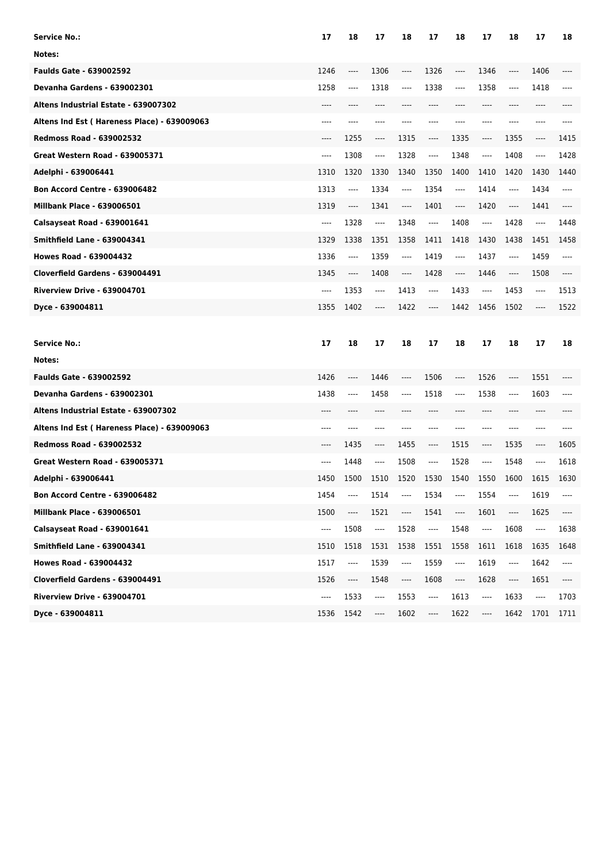| Service No.:                                | 17   | 18      | 17                            | 18                            | 17                                                                                                                                                                                                                                                                                                                                                                              | 18                       | 17       | 18   | 17                            | 18                            |
|---------------------------------------------|------|---------|-------------------------------|-------------------------------|---------------------------------------------------------------------------------------------------------------------------------------------------------------------------------------------------------------------------------------------------------------------------------------------------------------------------------------------------------------------------------|--------------------------|----------|------|-------------------------------|-------------------------------|
| Notes:                                      |      |         |                               |                               |                                                                                                                                                                                                                                                                                                                                                                                 |                          |          |      |                               |                               |
| <b>Faulds Gate - 639002592</b>              | 1246 | ----    | 1306                          | ----                          | 1326                                                                                                                                                                                                                                                                                                                                                                            | ----                     | 1346     | ---- | 1406                          |                               |
| <b>Devanha Gardens - 639002301</b>          | 1258 | ----    | 1318                          | $-----$                       | 1338                                                                                                                                                                                                                                                                                                                                                                            | ----                     | 1358     | ---- | 1418                          | ----                          |
| Altens Industrial Estate - 639007302        | ---- |         | ----                          | ----                          | ----                                                                                                                                                                                                                                                                                                                                                                            |                          | ----     | ---- | ----                          |                               |
| Altens Ind Est (Hareness Place) - 639009063 | ---- |         |                               |                               |                                                                                                                                                                                                                                                                                                                                                                                 |                          | ----     |      | ----                          |                               |
| <b>Redmoss Road - 639002532</b>             | ---- | 1255    | $\hspace{1.5cm} \textbf{---}$ | 1315                          | ----                                                                                                                                                                                                                                                                                                                                                                            | 1335                     | ----     | 1355 | ----                          | 1415                          |
| Great Western Road - 639005371              | ---- | 1308    | $\cdots$                      | 1328                          | ----                                                                                                                                                                                                                                                                                                                                                                            | 1348                     | ----     | 1408 | ----                          | 1428                          |
| Adelphi - 639006441                         | 1310 | 1320    | 1330                          | 1340                          | 1350                                                                                                                                                                                                                                                                                                                                                                            | 1400                     | 1410     | 1420 | 1430                          | 1440                          |
| <b>Bon Accord Centre - 639006482</b>        | 1313 | ----    | 1334                          | $-----$                       | 1354                                                                                                                                                                                                                                                                                                                                                                            | ----                     | 1414     | ---- | 1434                          | ----                          |
| <b>Millbank Place - 639006501</b>           | 1319 | $-----$ | 1341                          | ----                          | 1401                                                                                                                                                                                                                                                                                                                                                                            | ----                     | 1420     | ---- | 1441                          |                               |
| Calsayseat Road - 639001641                 | ---- | 1328    | $\hspace{1.5cm} \textbf{---}$ | 1348                          | ----                                                                                                                                                                                                                                                                                                                                                                            | 1408                     | ----     | 1428 | ----                          | 1448                          |
| <b>Smithfield Lane - 639004341</b>          | 1329 | 1338    | 1351                          | 1358                          | 1411                                                                                                                                                                                                                                                                                                                                                                            | 1418                     | 1430     | 1438 | 1451                          | 1458                          |
| <b>Howes Road - 639004432</b>               | 1336 | ----    | 1359                          | $-----$                       | 1419                                                                                                                                                                                                                                                                                                                                                                            | $\cdots$                 | 1437     | ---- | 1459                          | ----                          |
| Cloverfield Gardens - 639004491             | 1345 | ----    | 1408                          | $\hspace{1.5cm} \textbf{---}$ | 1428                                                                                                                                                                                                                                                                                                                                                                            | ----                     | 1446     | ---- | 1508                          |                               |
| <b>Riverview Drive - 639004701</b>          | ---- | 1353    | $\hspace{1.5cm} \textbf{---}$ | 1413                          | ----                                                                                                                                                                                                                                                                                                                                                                            | 1433                     | ----     | 1453 | $\hspace{1.5cm} \textbf{---}$ | 1513                          |
| Dyce - 639004811                            | 1355 | 1402    | ----                          | 1422                          | ----                                                                                                                                                                                                                                                                                                                                                                            | 1442                     | 1456     | 1502 | ----                          | 1522                          |
|                                             |      |         |                               |                               |                                                                                                                                                                                                                                                                                                                                                                                 |                          |          |      |                               |                               |
|                                             |      |         |                               |                               |                                                                                                                                                                                                                                                                                                                                                                                 |                          |          |      |                               |                               |
| <b>Service No.:</b>                         | 17   | 18      | 17                            | 18                            | 17                                                                                                                                                                                                                                                                                                                                                                              | 18                       | 17       | 18   | 17                            | 18                            |
| Notes:                                      |      |         |                               |                               |                                                                                                                                                                                                                                                                                                                                                                                 |                          |          |      |                               |                               |
| <b>Faulds Gate - 639002592</b>              | 1426 | ----    | 1446                          | ----                          | 1506                                                                                                                                                                                                                                                                                                                                                                            | $---$                    | 1526     | ---- | 1551                          |                               |
| <b>Devanha Gardens - 639002301</b>          | 1438 | ----    | 1458                          | ----                          | 1518                                                                                                                                                                                                                                                                                                                                                                            | ----                     | 1538     | ---- | 1603                          | ----                          |
| Altens Industrial Estate - 639007302        | ---- | ----    | ----                          | ----                          | ----                                                                                                                                                                                                                                                                                                                                                                            | $---$                    | $---$    | ---- | ----                          |                               |
| Altens Ind Est (Hareness Place) - 639009063 | ---- | ----    | ----                          | ----                          | ----                                                                                                                                                                                                                                                                                                                                                                            | $---$                    | $---$    | ---- | $---$                         | ----                          |
| <b>Redmoss Road - 639002532</b>             | ---- | 1435    | $\cdots$                      | 1455                          | ----                                                                                                                                                                                                                                                                                                                                                                            | 1515                     | ----     | 1535 | ----                          | 1605                          |
| <b>Great Western Road - 639005371</b>       | ---- | 1448    | $\cdots$                      | 1508                          | ----                                                                                                                                                                                                                                                                                                                                                                            | 1528                     | ----     | 1548 | ----                          | 1618                          |
| Adelphi - 639006441                         | 1450 | 1500    | 1510                          | 1520                          | 1530                                                                                                                                                                                                                                                                                                                                                                            | 1540                     | 1550     | 1600 | 1615                          | 1630                          |
| Bon Accord Centre - 639006482               | 1454 | ----    | 1514                          | ----                          | 1534                                                                                                                                                                                                                                                                                                                                                                            | $---$                    | 1554     | ---- | 1619                          | ----                          |
| Millbank Place - 639006501                  | 1500 | ----    | 1521                          | ----                          | 1541                                                                                                                                                                                                                                                                                                                                                                            | ----                     | 1601     | ---- | 1625                          | ----                          |
| Calsayseat Road - 639001641                 | ---- | 1508    | $\overline{\phantom{a}}$      | 1528                          | $\overline{\phantom{a}}$                                                                                                                                                                                                                                                                                                                                                        | 1548                     | $\cdots$ | 1608 | ----                          | 1638                          |
| <b>Smithfield Lane - 639004341</b>          | 1510 | 1518    | 1531                          | 1538                          | 1551                                                                                                                                                                                                                                                                                                                                                                            | 1558                     | 1611     | 1618 | 1635                          | 1648                          |
| <b>Howes Road - 639004432</b>               | 1517 | ----    | 1539                          | ----                          | 1559                                                                                                                                                                                                                                                                                                                                                                            | ----                     | 1619     | ---- | 1642                          | ----                          |
| Cloverfield Gardens - 639004491             | 1526 | ----    | 1548                          | ----                          | 1608                                                                                                                                                                                                                                                                                                                                                                            | $\overline{\phantom{a}}$ | 1628     | ---- | 1651                          | $\hspace{1.5cm} \textbf{---}$ |
| Riverview Drive - 639004701                 | ---- | 1533    | ----                          | 1553                          | $\hspace{0.01em}\rule{0.7pt}{0.1em}\hspace{0.01em}\hspace{0.01em}\hspace{0.01em}\hspace{0.01em}\hspace{0.01em}\hspace{0.01em}\hspace{0.01em}\hspace{0.01em}\hspace{0.01em}\hspace{0.01em}\hspace{0.01em}\hspace{0.01em}\hspace{0.01em}\hspace{0.01em}\hspace{0.01em}\hspace{0.01em}\hspace{0.01em}\hspace{0.01em}\hspace{0.01em}\hspace{0.01em}\hspace{0.01em}\hspace{0.01em}\$ | 1613                     | ----     | 1633 | ----                          | 1703                          |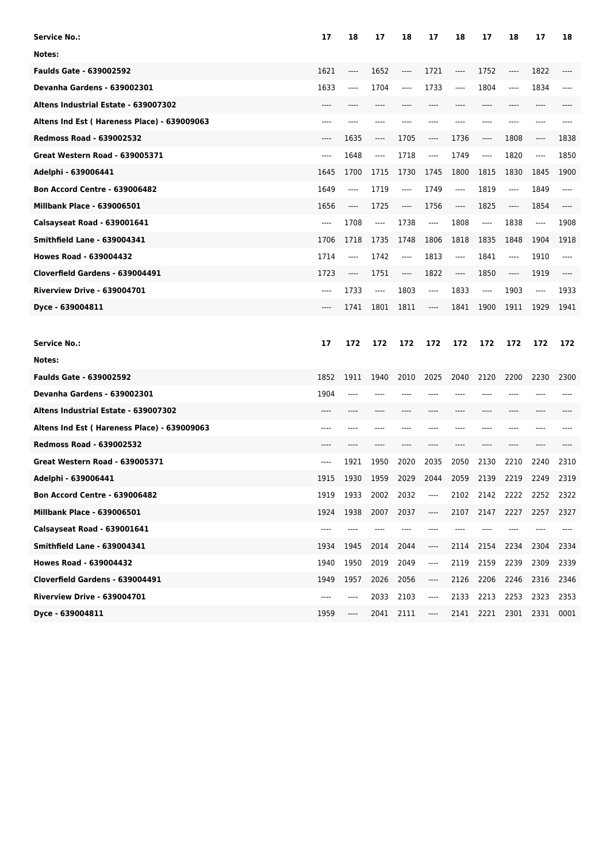| Service No.:                                | 17   | 18                            | 17                            | 18   | 17   | 18                            | 17   | 18    | 17                            | 18   |
|---------------------------------------------|------|-------------------------------|-------------------------------|------|------|-------------------------------|------|-------|-------------------------------|------|
| Notes:                                      |      |                               |                               |      |      |                               |      |       |                               |      |
| <b>Faulds Gate - 639002592</b>              | 1621 | ----                          | 1652                          | ---- | 1721 | ----                          | 1752 | ----  | 1822                          |      |
| <b>Devanha Gardens - 639002301</b>          | 1633 | ----                          | 1704                          | ---- | 1733 | ----                          | 1804 | ----  | 1834                          |      |
| Altens Industrial Estate - 639007302        | ---- |                               | ----                          |      | ---- |                               | ---- | ----  | ----                          |      |
| Altens Ind Est (Hareness Place) - 639009063 | ---- |                               |                               |      |      |                               | ---- | ----  | ----                          |      |
| <b>Redmoss Road - 639002532</b>             | ---- | 1635                          | $\hspace{1.5cm} \textbf{---}$ | 1705 | ---- | 1736                          | ---- | 1808  | ----                          | 1838 |
| <b>Great Western Road - 639005371</b>       | ---- | 1648                          | $\cdots$                      | 1718 | ---- | 1749                          | ---- | 1820  | ----                          | 1850 |
| Adelphi - 639006441                         | 1645 | 1700                          | 1715                          | 1730 | 1745 | 1800                          | 1815 | 1830  | 1845                          | 1900 |
| <b>Bon Accord Centre - 639006482</b>        | 1649 | ----                          | 1719                          | ---- | 1749 | $\hspace{1.5cm} \textbf{---}$ | 1819 | ----  | 1849                          | ---- |
| <b>Millbank Place - 639006501</b>           | 1656 | $\hspace{1.5cm} \textbf{---}$ | 1725                          | ---- | 1756 | ----                          | 1825 | ----  | 1854                          |      |
| Calsayseat Road - 639001641                 | ---- | 1708                          | $\hspace{1.5cm} \textbf{---}$ | 1738 | ---- | 1808                          | ---- | 1838  | ----                          | 1908 |
| <b>Smithfield Lane - 639004341</b>          | 1706 | 1718                          | 1735                          | 1748 | 1806 | 1818                          | 1835 | 1848  | 1904                          | 1918 |
| <b>Howes Road - 639004432</b>               | 1714 | ----                          | 1742                          | ---- | 1813 | $\hspace{1.5cm} \textbf{---}$ | 1841 | $---$ | 1910                          | ---- |
| Cloverfield Gardens - 639004491             | 1723 | $\hspace{1.5cm} \textbf{---}$ | 1751                          | ---- | 1822 | ----                          | 1850 | ----  | 1919                          |      |
| <b>Riverview Drive - 639004701</b>          | ---- | 1733                          | $\hspace{1.5cm} \textbf{---}$ | 1803 | ---- | 1833                          | ---- | 1903  | $\hspace{1.5cm} \textbf{---}$ | 1933 |
| Dyce - 639004811                            | ---- | 1741                          | 1801                          | 1811 | ---- | 1841                          | 1900 | 1911  | 1929                          | 1941 |
|                                             |      |                               |                               |      |      |                               |      |       |                               |      |
|                                             |      |                               |                               |      |      |                               |      |       |                               |      |
| <b>Service No.:</b>                         | 17   | 172                           | 172                           | 172  | 172  | 172                           | 172  | 172   | 172                           | 172  |
| Notes:                                      |      |                               |                               |      |      |                               |      |       |                               |      |
| <b>Faulds Gate - 639002592</b>              | 1852 | 1911                          | 1940                          | 2010 | 2025 | 2040                          | 2120 | 2200  | 2230                          | 2300 |
| <b>Devanha Gardens - 639002301</b>          | 1904 | ----                          |                               |      |      |                               |      |       |                               |      |
| Altens Industrial Estate - 639007302        |      |                               |                               |      |      |                               | ---- | ----  |                               |      |
| Altens Ind Est (Hareness Place) - 639009063 | ---- |                               |                               |      |      |                               |      | ----  |                               |      |
| <b>Redmoss Road - 639002532</b>             | ---- |                               |                               |      |      |                               |      |       |                               |      |
| <b>Great Western Road - 639005371</b>       | ---- | 1921                          | 1950                          | 2020 | 2035 | 2050                          | 2130 | 2210  | 2240                          | 2310 |
| Adelphi - 639006441                         | 1915 | 1930                          | 1959                          | 2029 | 2044 | 2059                          | 2139 | 2219  | 2249                          | 2319 |
| Bon Accord Centre - 639006482               | 1919 | 1933                          | 2002                          | 2032 | ---- | 2102                          | 2142 | 2222  | 2252                          | 2322 |
| <b>Millbank Place - 639006501</b>           | 1924 | 1938                          | 2007                          | 2037 | ---- | 2107                          | 2147 | 2227  | 2257                          | 2327 |
| Calsayseat Road - 639001641                 | ---- | ----                          | ----                          | ---- | ---- | $-----$                       | ---- | ----  |                               |      |
| <b>Smithfield Lane - 639004341</b>          | 1934 | 1945                          | 2014                          | 2044 | ---- | 2114                          | 2154 | 2234  | 2304                          | 2334 |
| <b>Howes Road - 639004432</b>               | 1940 | 1950                          | 2019                          | 2049 | ---- | 2119                          | 2159 | 2239  | 2309                          | 2339 |
| Cloverfield Gardens - 639004491             | 1949 | 1957                          | 2026                          | 2056 | ---- | 2126                          | 2206 | 2246  | 2316                          | 2346 |
| Riverview Drive - 639004701                 | ---- | ----                          | 2033                          | 2103 | ---- | 2133                          | 2213 | 2253  | 2323                          | 2353 |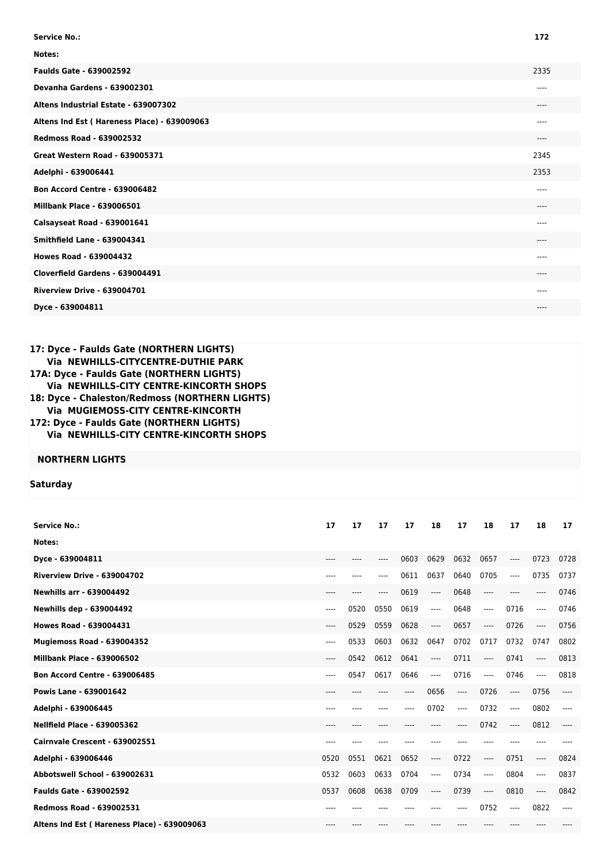| <b>Service No.:</b>                         | 172   |
|---------------------------------------------|-------|
| Notes:                                      |       |
| <b>Faulds Gate - 639002592</b>              | 2335  |
| Devanha Gardens - 639002301                 | ----  |
| Altens Industrial Estate - 639007302        | ----  |
| Altens Ind Est (Hareness Place) - 639009063 | ----  |
| <b>Redmoss Road - 639002532</b>             | ----  |
| <b>Great Western Road - 639005371</b>       | 2345  |
| Adelphi - 639006441                         | 2353  |
| <b>Bon Accord Centre - 639006482</b>        | $---$ |
| <b>Millbank Place - 639006501</b>           | ----  |
| Calsayseat Road - 639001641                 | ----  |
| <b>Smithfield Lane - 639004341</b>          | ----  |
| <b>Howes Road - 639004432</b>               | ----  |
| Cloverfield Gardens - 639004491             | ----  |
| <b>Riverview Drive - 639004701</b>          | ----  |
| Dyce - 639004811                            | ----  |

## **17: Dyce - Faulds Gate (NORTHERN LIGHTS) Via NEWHILLS-CITYCENTRE-DUTHIE PARK 17A: Dyce - Faulds Gate (NORTHERN LIGHTS) Via NEWHILLS-CITY CENTRE-KINCORTH SHOPS 18: Dyce - Chaleston/Redmoss (NORTHERN LIGHTS) Via MUGIEMOSS-CITY CENTRE-KINCORTH 172: Dyce - Faulds Gate (NORTHERN LIGHTS) Via NEWHILLS-CITY CENTRE-KINCORTH SHOPS**

## **NORTHERN LIGHTS**

## **Saturday**

| <b>Service No.:</b>                         | 17    | 17   | 17        | 17   | 18    | 17       | 18       | 17       | 18   | 17   |
|---------------------------------------------|-------|------|-----------|------|-------|----------|----------|----------|------|------|
| Notes:                                      |       |      |           |      |       |          |          |          |      |      |
| Dyce - 639004811                            | ----  | ---- | ----      | 0603 | 0629  | 0632     | 0657     | $\cdots$ | 0723 | 0728 |
| Riverview Drive - 639004702                 | $---$ | ---- | ----      | 0611 | 0637  | 0640     | 0705     | $---$    | 0735 | 0737 |
| <b>Newhills arr - 639004492</b>             | ----  | ---- | ----      | 0619 | $---$ | 0648     | $---$    | $---$    | ---- | 0746 |
| <b>Newhills dep - 639004492</b>             | ----  | 0520 | 0550      | 0619 | ----  | 0648     | ----     | 0716     | ---- | 0746 |
| <b>Howes Road - 639004431</b>               | ----  | 0529 | 0559      | 0628 | $---$ | 0657     | $\cdots$ | 0726     | ---- | 0756 |
| <b>Mugiemoss Road - 639004352</b>           | ----  | 0533 | 0603      | 0632 | 0647  | 0702     | 0717     | 0732     | 0747 | 0802 |
| <b>Millbank Place - 639006502</b>           | ----  | 0542 | 0612      | 0641 | $---$ | 0711     | $---$    | 0741     | ---- | 0813 |
| <b>Bon Accord Centre - 639006485</b>        | $---$ | 0547 | 0617      | 0646 | ----  | 0716     | $---$    | 0746     | ---- | 0818 |
| <b>Powis Lane - 639001642</b>               | $---$ | ---- |           | ---- | 0656  | $\cdots$ | 0726     | $\cdots$ | 0756 | ---- |
| Adelphi - 639006445                         | ----  | ---- | $- - - -$ | ---- | 0702  | $---$    | 0732     | $\cdots$ | 0802 | ---- |
| <b>Nellfield Place - 639005362</b>          | ----  |      |           |      |       | ----     | 0742     | ----     | 0812 | ---- |
| Cairnvale Crescent - 639002551              |       |      |           |      |       |          |          |          |      |      |
| Adelphi - 639006446                         | 0520  | 0551 | 0621      | 0652 | $---$ | 0722     | $---$    | 0751     | ---- | 0824 |
| Abbotswell School - 639002631               | 0532  | 0603 | 0633      | 0704 | $---$ | 0734     | ----     | 0804     | ---- | 0837 |
| <b>Faulds Gate - 639002592</b>              | 0537  | 0608 | 0638      | 0709 | $---$ | 0739     | ----     | 0810     | ---- | 0842 |
| <b>Redmoss Road - 639002531</b>             | $---$ |      |           |      |       | ----     | 0752     | $---$    | 0822 | ---- |
| Altens Ind Est (Hareness Place) - 639009063 | $---$ | ---- |           |      |       |          |          |          |      |      |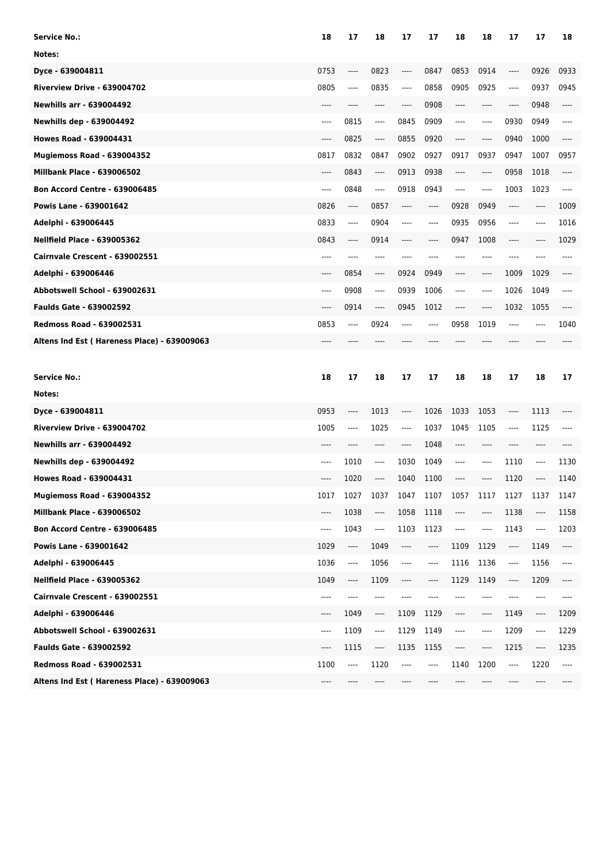| <b>Service No.:</b>                         | 18   | 17                            | 18                            | 17   | 17                            | 18      | 18   | 17                            | 17    | 18   |
|---------------------------------------------|------|-------------------------------|-------------------------------|------|-------------------------------|---------|------|-------------------------------|-------|------|
| Notes:                                      |      |                               |                               |      |                               |         |      |                               |       |      |
| Dyce - 639004811                            | 0753 | ----                          | 0823                          | ---- | 0847                          | 0853    | 0914 | ----                          | 0926  | 0933 |
| Riverview Drive - 639004702                 | 0805 | ----                          | 0835                          | ---- | 0858                          | 0905    | 0925 | ----                          | 0937  | 0945 |
| <b>Newhills arr - 639004492</b>             | ---- | ----                          | ----                          | ---- | 0908                          | $---$   | ---- | ----                          | 0948  | ---- |
| <b>Newhills dep - 639004492</b>             | ---- | 0815                          | $\hspace{1.5cm} \textbf{---}$ | 0845 | 0909                          | $---$   | ---- | 0930                          | 0949  | ---- |
| Howes Road - 639004431                      | ---- | 0825                          | $\cdots$                      | 0855 | 0920                          | $---$   | ---- | 0940                          | 1000  | ---- |
| Mugiemoss Road - 639004352                  | 0817 | 0832                          | 0847                          | 0902 | 0927                          | 0917    | 0937 | 0947                          | 1007  | 0957 |
| <b>Millbank Place - 639006502</b>           | ---- | 0843                          | $\cdots$                      | 0913 | 0938                          | $-----$ | ---- | 0958                          | 1018  | ---- |
| <b>Bon Accord Centre - 639006485</b>        | ---- | 0848                          | ----                          | 0918 | 0943                          | $-----$ | ---- | 1003                          | 1023  | ---- |
| Powis Lane - 639001642                      | 0826 | $---$                         | 0857                          | ---- | $---$                         | 0928    | 0949 | ----                          | $---$ | 1009 |
| Adelphi - 639006445                         | 0833 | ----                          | 0904                          | ---- | $---$                         | 0935    | 0956 | ----                          | $---$ | 1016 |
| <b>Nellfield Place - 639005362</b>          | 0843 | ----                          | 0914                          | ---- | ----                          | 0947    | 1008 | ----                          | ----  | 1029 |
| Cairnvale Crescent - 639002551              | ---- | ----                          | ----                          | ---- | ----                          | ----    | ---- | ----                          | ----  | ---- |
| Adelphi - 639006446                         | ---- | 0854                          | $---$                         | 0924 | 0949                          | $---$   | ---- | 1009                          | 1029  | ---- |
| Abbotswell School - 639002631               | ---- | 0908                          | $\cdots$                      | 0939 | 1006                          | $---$   | ---- | 1026                          | 1049  | ---- |
| <b>Faulds Gate - 639002592</b>              | ---- | 0914                          | $\hspace{1.5cm} \textbf{---}$ | 0945 | 1012                          | $---$   | ---- | 1032                          | 1055  | ---- |
| <b>Redmoss Road - 639002531</b>             | 0853 | ----                          | 0924                          | ---- | $---$                         | 0958    | 1019 | ----                          | ----  | 1040 |
| Altens Ind Est (Hareness Place) - 639009063 | ---- |                               |                               |      | ----                          | ----    |      |                               |       |      |
|                                             |      |                               |                               |      |                               |         |      |                               |       |      |
|                                             |      |                               |                               |      |                               |         |      |                               |       |      |
| <b>Service No.:</b>                         | 18   | 17                            | 18                            | 17   | 17                            | 18      | 18   | 17                            | 18    | 17   |
| Notes:                                      |      |                               |                               |      |                               |         |      |                               |       |      |
| Dyce - 639004811                            | 0953 | ----                          | 1013                          | ---- | 1026                          | 1033    | 1053 | ----                          | 1113  |      |
| Riverview Drive - 639004702                 | 1005 | ----                          | 1025                          | ---- | 1037                          | 1045    | 1105 | ----                          | 1125  |      |
| <b>Newhills arr - 639004492</b>             | ---- |                               | ----                          | ---- | 1048                          | $-----$ | ---- | ----                          | ----  |      |
| Newhills dep - 639004492                    | ---- | 1010                          | $-----$                       | 1030 | 1049                          | $---$   | ---- | 1110                          | ----  | 1130 |
| <b>Howes Road - 639004431</b>               | ---- | 1020                          | $---$                         | 1040 | 1100                          | ----    | ---- | 1120                          | ----  | 1140 |
| Mugiemoss Road - 639004352                  | 1017 | 1027                          | 1037                          | 1047 | 1107                          | 1057    | 1117 | 1127                          | 1137  | 1147 |
| <b>Millbank Place - 639006502</b>           | ---- | 1038                          | ----                          | 1058 | 1118                          | ----    | ---- | 1138                          | ----  | 1158 |
| <b>Bon Accord Centre - 639006485</b>        | ---- | 1043                          | ----                          | 1103 | 1123                          | ----    | ---- | 1143                          | ----  | 1203 |
| Powis Lane - 639001642                      | 1029 | ----                          | 1049                          | ---- | $\hspace{1.5cm} \textbf{---}$ | 1109    | 1129 | ----                          | 1149  | ---- |
| Adelphi - 639006445                         | 1036 | ----                          | 1056                          | ---- | $---$                         | 1116    | 1136 | ----                          | 1156  | ---- |
| <b>Nellfield Place - 639005362</b>          | 1049 | $\hspace{1.5cm} \textbf{---}$ | 1109                          | ---- | $\hspace{1.5cm} \textbf{---}$ | 1129    | 1149 | $\hspace{1.5cm} \textbf{---}$ | 1209  | ---- |
| Cairnvale Crescent - 639002551              | ---- | ----                          | $\hspace{1.5cm} \textbf{---}$ | ---- | ----                          | ----    | ---- | ----                          | ----  | ---- |
| Adelphi - 639006446                         | ---- | 1049                          | $\hspace{1.5cm} \textbf{---}$ | 1109 | 1129                          | ----    | ---- | 1149                          | ----  | 1209 |
| Abbotswell School - 639002631               | ---- | 1109                          | ----                          | 1129 | 1149                          | ----    | ---- | 1209                          | ----  | 1229 |
| <b>Faulds Gate - 639002592</b>              | ---- | 1115                          | ----                          | 1135 | 1155                          | ----    | ---- | 1215                          | ----  | 1235 |
| <b>Redmoss Road - 639002531</b>             | 1100 | ----                          | 1120                          | ---- | ----                          | 1140    | 1200 | $\hspace{1.5cm} \textbf{---}$ | 1220  | ---- |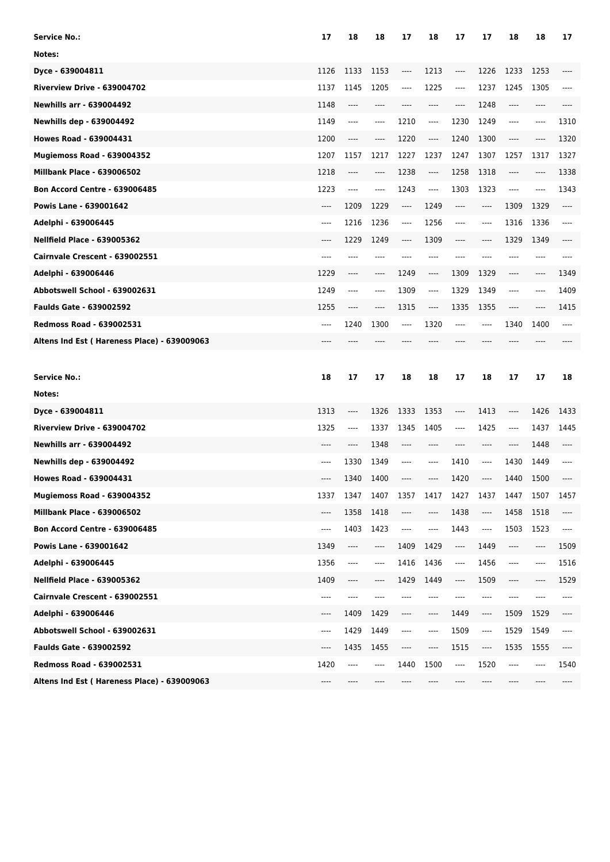| Service No.:                                | 17   | 18                            | 18                            | 17       | 18                            | 17                                           | 17   | 18      | 18   | 17   |
|---------------------------------------------|------|-------------------------------|-------------------------------|----------|-------------------------------|----------------------------------------------|------|---------|------|------|
| Notes:                                      |      |                               |                               |          |                               |                                              |      |         |      |      |
| Dyce - 639004811                            | 1126 | 1133                          | 1153                          | ----     | 1213                          | ----                                         | 1226 | 1233    | 1253 |      |
| Riverview Drive - 639004702                 | 1137 | 1145                          | 1205                          | ----     | 1225                          | $---$                                        | 1237 | 1245    | 1305 | ---- |
| <b>Newhills arr - 639004492</b>             | 1148 | ----                          | ----                          | ----     | $---$                         | ----                                         | 1248 | ----    | ---- |      |
| <b>Newhills dep - 639004492</b>             | 1149 | ----                          | ----                          | 1210     | $\hspace{1.5cm} \textbf{---}$ | 1230                                         | 1249 | ----    | ---- | 1310 |
| <b>Howes Road - 639004431</b>               | 1200 | ----                          | ----                          | 1220     | ----                          | 1240                                         | 1300 | ----    |      | 1320 |
| Mugiemoss Road - 639004352                  | 1207 | 1157                          | 1217                          | 1227     | 1237                          | 1247                                         | 1307 | 1257    | 1317 | 1327 |
| <b>Millbank Place - 639006502</b>           | 1218 | ----                          | ----                          | 1238     | $\hspace{1.5cm} \textbf{---}$ | 1258                                         | 1318 | ----    | ---- | 1338 |
| <b>Bon Accord Centre - 639006485</b>        | 1223 | ----                          | ----                          | 1243     | $\hspace{1.5cm} \textbf{---}$ | 1303                                         | 1323 | ----    |      | 1343 |
| <b>Powis Lane - 639001642</b>               | ---- | 1209                          | 1229                          | ----     | 1249                          | $-----$                                      | ---- | 1309    | 1329 | ---- |
| Adelphi - 639006445                         | ---- | 1216                          | 1236                          | ----     | 1256                          | $\hspace{1.5cm} \textbf{---} \hspace{1.5cm}$ | ---- | 1316    | 1336 | ---- |
| <b>Nellfield Place - 639005362</b>          | ---- | 1229                          | 1249                          | ----     | 1309                          | $---$                                        | ---- | 1329    | 1349 | ---- |
| Cairnvale Crescent - 639002551              | ---- | ----                          | $--- -$                       | ----     | $---$                         | ----                                         | ---- | ----    | ---- | ---- |
| Adelphi - 639006446                         | 1229 | ----                          | ----                          | 1249     | ----                          | 1309                                         | 1329 | ----    | ---- | 1349 |
| Abbotswell School - 639002631               | 1249 | ----                          | $---$                         | 1309     | $\hspace{1.5cm} \textbf{---}$ | 1329                                         | 1349 | ----    | ---- | 1409 |
| <b>Faulds Gate - 639002592</b>              | 1255 | ----                          | ----                          | 1315     | ----                          | 1335                                         | 1355 | ----    | ---- | 1415 |
| <b>Redmoss Road - 639002531</b>             | ---- | 1240                          | 1300                          | ----     | 1320                          | $---$                                        | ---- | 1340    | 1400 | ---- |
| Altens Ind Est (Hareness Place) - 639009063 |      |                               |                               |          |                               |                                              |      |         |      |      |
|                                             |      |                               |                               |          |                               |                                              |      |         |      |      |
|                                             |      |                               |                               |          |                               |                                              |      |         |      |      |
| <b>Service No.:</b>                         | 18   | 17                            | 17                            | 18       | 18                            | 17                                           | 18   | 17      | 17   | 18   |
| Notes:                                      |      |                               |                               |          |                               |                                              |      |         |      |      |
| Dyce - 639004811                            | 1313 | ----                          | 1326                          | 1333     | 1353                          | $\hspace{1.5cm} \textbf{---}$                | 1413 | ----    | 1426 | 1433 |
| Riverview Drive - 639004702                 | 1325 | $-----$                       | 1337                          | 1345     | 1405                          | $\cdots$                                     | 1425 | $-----$ | 1437 | 1445 |
| <b>Newhills arr - 639004492</b>             | ---- | ----                          | 1348                          | ----     | ----                          | ----                                         | ---- | ----    | 1448 | ---- |
| <b>Newhills dep - 639004492</b>             | ---- | 1330                          | 1349                          | ----     | $---$                         | 1410                                         | ---- | 1430    | 1449 | ---- |
| <b>Howes Road - 639004431</b>               | ---- | 1340                          | 1400                          | ----     | ----                          | 1420                                         | ---- | 1440    | 1500 | ---- |
| Mugiemoss Road - 639004352                  | 1337 | 1347                          | 1407                          | 1357     | 1417                          | 1427                                         | 1437 | 1447    | 1507 | 1457 |
| <b>Millbank Place - 639006502</b>           | ---- | 1358                          | 1418                          | ----     | $-----$                       | 1438                                         | ---- | 1458    | 1518 | ---- |
| <b>Bon Accord Centre - 639006485</b>        | ---- | 1403                          | 1423                          | $\cdots$ | $---$                         | 1443                                         | ---- | 1503    | 1523 | ---- |
| Powis Lane - 639001642                      | 1349 | $\hspace{1.5cm} \textbf{---}$ | $\hspace{1.5cm} \textbf{---}$ | 1409     | 1429                          | ----                                         | 1449 | ----    | ---- | 1509 |
| Adelphi - 639006445                         | 1356 | ----                          | $\hspace{1.5cm} \textbf{---}$ | 1416     | 1436                          | $\overline{\phantom{a}}$                     | 1456 | ----    | ---- | 1516 |
| <b>Nellfield Place - 639005362</b>          | 1409 | ----                          | ----                          | 1429     | 1449                          | ----                                         | 1509 | ----    | ---- | 1529 |
| Cairnvale Crescent - 639002551              | ---- | ----                          | ----                          |          | ----                          | ----                                         | ---- | ----    |      |      |
| Adelphi - 639006446                         | ---- | 1409                          | 1429                          | ----     | $---$                         | 1449                                         | ---- | 1509    | 1529 | ---- |
| Abbotswell School - 639002631               | ---- | 1429                          | 1449                          | ----     | $\hspace{1.5cm} \textbf{---}$ | 1509                                         | ---- | 1529    | 1549 | ---- |
| <b>Faulds Gate - 639002592</b>              | ---- | 1435                          | 1455                          | ----     | $---$                         | 1515                                         | ---- | 1535    | 1555 | ---- |
| Redmoss Road - 639002531                    | 1420 | $-----$                       | ----                          | 1440     | 1500                          | ----                                         | 1520 | ----    | ---- | 1540 |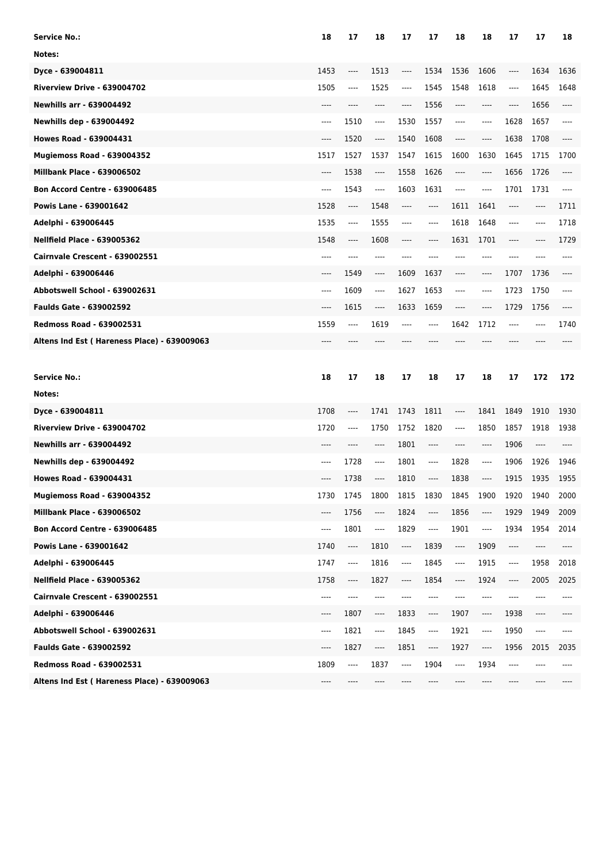| Service No.:                                | 18   | 17       | 18                            | 17                            | 17                            | 18                            | 18                            | 17                            | 17    | 18   |
|---------------------------------------------|------|----------|-------------------------------|-------------------------------|-------------------------------|-------------------------------|-------------------------------|-------------------------------|-------|------|
| Notes:                                      |      |          |                               |                               |                               |                               |                               |                               |       |      |
| Dyce - 639004811                            | 1453 | ----     | 1513                          | ----                          | 1534                          | 1536                          | 1606                          | ----                          | 1634  | 1636 |
| Riverview Drive - 639004702                 | 1505 | ----     | 1525                          | ----                          | 1545                          | 1548                          | 1618                          | ----                          | 1645  | 1648 |
| <b>Newhills arr - 639004492</b>             | ---- | ----     | ----                          | ----                          | 1556                          | $-----$                       | ----                          | ----                          | 1656  | ---- |
| <b>Newhills dep - 639004492</b>             | ---- | 1510     | $\hspace{1.5cm} \textbf{---}$ | 1530                          | 1557                          | $---$                         | ----                          | 1628                          | 1657  | ---- |
| <b>Howes Road - 639004431</b>               | ---- | 1520     | ----                          | 1540                          | 1608                          | $---$                         | ----                          | 1638                          | 1708  |      |
| Mugiemoss Road - 639004352                  | 1517 | 1527     | 1537                          | 1547                          | 1615                          | 1600                          | 1630                          | 1645                          | 1715  | 1700 |
| <b>Millbank Place - 639006502</b>           | ---- | 1538     | $\hspace{1.5cm} \textbf{---}$ | 1558                          | 1626                          | $-----$                       | ----                          | 1656                          | 1726  | ---- |
| <b>Bon Accord Centre - 639006485</b>        | ---- | 1543     | $\cdots$                      | 1603                          | 1631                          | $---$                         | ----                          | 1701                          | 1731  | ---- |
| <b>Powis Lane - 639001642</b>               | 1528 | ----     | 1548                          | ----                          | $---$                         | 1611                          | 1641                          | ----                          | ----  | 1711 |
| Adelphi - 639006445                         | 1535 | ----     | 1555                          | ----                          | ----                          | 1618                          | 1648                          | ----                          | ----  | 1718 |
| <b>Nellfield Place - 639005362</b>          | 1548 | ----     | 1608                          | ----                          | ----                          | 1631                          | 1701                          | ----                          | ----  | 1729 |
| Cairnvale Crescent - 639002551              | ---- | ----     | ----                          | ----                          | ----                          |                               | ----                          | ----                          |       |      |
| Adelphi - 639006446                         | ---- | 1549     | $\hspace{1.5cm} \textbf{---}$ | 1609                          | 1637                          | ----                          | ----                          | 1707                          | 1736  |      |
| Abbotswell School - 639002631               | ---- | 1609     | ----                          | 1627                          | 1653                          | $-----$                       | $---$                         | 1723                          | 1750  | ---- |
| <b>Faulds Gate - 639002592</b>              | ---- | 1615     | $\hspace{1.5cm} \textbf{---}$ | 1633                          | 1659                          | $\hspace{1.5cm} \textbf{---}$ | ----                          | 1729                          | 1756  | ---- |
| <b>Redmoss Road - 639002531</b>             | 1559 | ----     | 1619                          | ----                          | ----                          | 1642                          | 1712                          | ----                          |       | 1740 |
| Altens Ind Est (Hareness Place) - 639009063 |      |          |                               |                               |                               |                               |                               |                               |       |      |
|                                             |      |          |                               |                               |                               |                               |                               |                               |       |      |
|                                             |      |          |                               |                               |                               |                               |                               |                               |       |      |
| <b>Service No.:</b>                         | 18   | 17       | 18                            | 17                            | 18                            | 17                            | 18                            | 17                            | 172   | 172  |
| Notes:                                      |      |          |                               |                               |                               |                               |                               |                               |       |      |
| Dyce - 639004811                            | 1708 | ----     | 1741                          | 1743                          | 1811                          | $\hspace{1.5cm} \textbf{---}$ | 1841                          | 1849                          | 1910  | 1930 |
| Riverview Drive - 639004702                 | 1720 | ----     | 1750                          | 1752                          | 1820                          | $\cdots$                      | 1850                          | 1857                          | 1918  | 1938 |
| <b>Newhills arr - 639004492</b>             | ---- |          | $---$                         | 1801                          | $-----$                       | ----                          | ----                          | 1906                          | ----  |      |
| <b>Newhills dep - 639004492</b>             | ---- | 1728     | $---$                         | 1801                          | $---$                         | 1828                          | ----                          | 1906                          | 1926  | 1946 |
| <b>Howes Road - 639004431</b>               | ---- | 1738     | $-----$                       | 1810                          | ----                          | 1838                          | ----                          | 1915                          | 1935  | 1955 |
| Mugiemoss Road - 639004352                  | 1730 | 1745     | 1800                          | 1815                          | 1830                          | 1845                          | 1900                          | 1920                          | 1940  | 2000 |
| <b>Millbank Place - 639006502</b>           | ---- | 1756     | ----                          | 1824                          | ----                          | 1856                          | ----                          | 1929                          | 1949  | 2009 |
| <b>Bon Accord Centre - 639006485</b>        | ---- | 1801     | ----                          | 1829                          | ----                          | 1901                          | $---$                         | 1934                          | 1954  | 2014 |
| Powis Lane - 639001642                      | 1740 | ----     | 1810                          | $\hspace{1.5cm} \textbf{---}$ | 1839                          | ----                          | 1909                          | $\hspace{1.5cm} \textbf{---}$ | ----  | ---- |
| Adelphi - 639006445                         | 1747 | ----     | 1816                          | ----                          | 1845                          | $\overline{\phantom{a}}$      | 1915                          | ----                          | 1958  | 2018 |
| <b>Nellfield Place - 639005362</b>          | 1758 | $\cdots$ | 1827                          | $\cdots$                      | 1854                          | ----                          | 1924                          | ----                          | 2005  | 2025 |
| Cairnvale Crescent - 639002551              | ---- | ----     | ----                          |                               | $---$                         | ----                          | ----                          | ----                          |       |      |
| Adelphi - 639006446                         | ---- | 1807     | $\hspace{1.5cm} \textbf{---}$ | 1833                          | $\hspace{1.5cm} \textbf{---}$ | 1907                          | $\hspace{1.5cm} \textbf{---}$ | 1938                          | ----  |      |
| Abbotswell School - 639002631               | ---- | 1821     | $\cdots$                      | 1845                          | ----                          | 1921                          | ----                          | 1950                          | $---$ | ---- |
| <b>Faulds Gate - 639002592</b>              | ---- | 1827     | ----                          | 1851                          | ----                          | 1927                          | ----                          | 1956                          | 2015  | 2035 |
| Redmoss Road - 639002531                    | 1809 | ----     | 1837                          | ----                          | 1904                          | $\hspace{1.5cm} \textbf{---}$ | 1934                          | $---$                         |       |      |